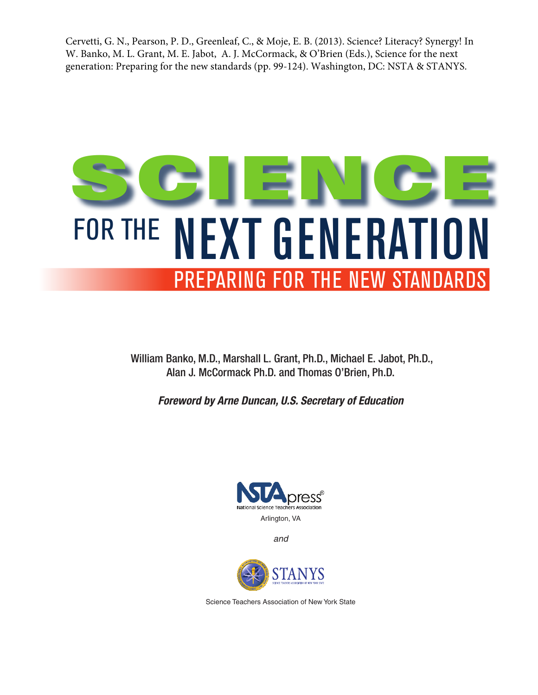Cervetti, G. N., Pearson, P. D., Greenleaf, C., & Moje, E. B. (2013). Science? Literacy? Synergy! In W. Banko, M. L. Grant, M. E. Jabot, A. J. McCormack, & O'Brien (Eds.), Science for the next generation: Preparing for the new standards (pp. 99-124). Washington, DC: NSTA & STANYS.



 William Banko, M.D., Marshall L. Grant, Ph.D., Michael E. Jabot, Ph.D., Alan J. McCormack Ph.D. and Thomas O'Brien, Ph.D.

*Foreword by Arne Duncan, U.S. Secretary of Education*



*and*



Science Teachers Association of New York State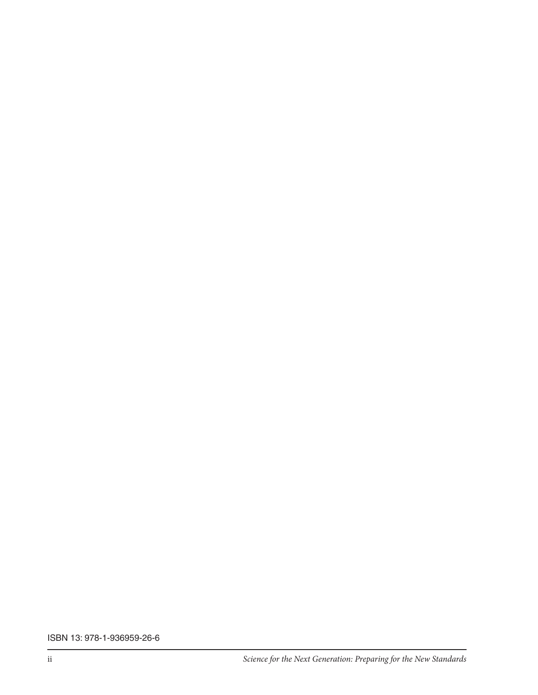ISBN 13: 978-1-936959-26-6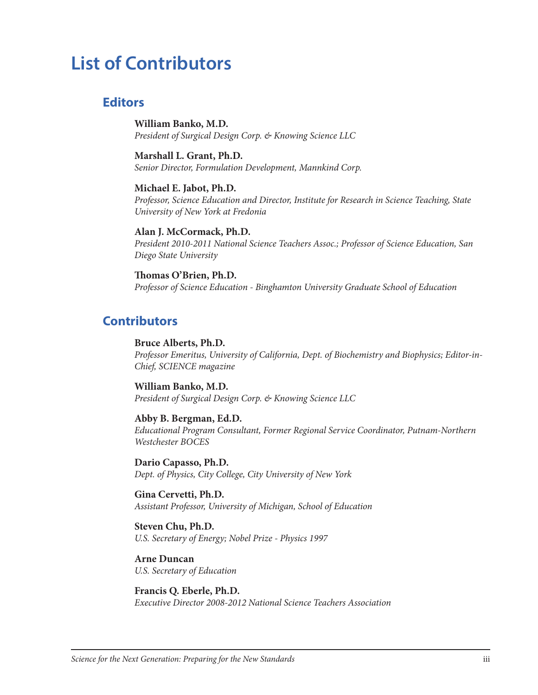## **List of Contributors**

## **Editors**

**William Banko, M.D.** *President of Surgical Design Corp. & Knowing Science LLC*

**Marshall L. Grant, Ph.D.** *Senior Director, Formulation Development, Mannkind Corp.*

**Michael E. Jabot, Ph.D.** *Professor, Science Education and Director, Institute for Research in Science Teaching, State University of New York at Fredonia*

**Alan J. McCormack, Ph.D.** *President 2010-2011 National Science Teachers Assoc.; Professor of Science Education, San Diego State University*

**Thomas O'Brien, Ph.D.** *Professor of Science Education - Binghamton University Graduate School of Education*

## **Contributors**

#### **Bruce Alberts, Ph.D.**

*Professor Emeritus, University of California, Dept. of Biochemistry and Biophysics; Editor-in-Chief, SCIENCE magazine*

**William Banko, M.D.** *President of Surgical Design Corp. & Knowing Science LLC*

#### **Abby B. Bergman, Ed.D.**

*Educational Program Consultant, Former Regional Service Coordinator, Putnam-Northern Westchester BOCES*

**Dario Capasso, Ph.D.** *Dept. of Physics, City College, City University of New York*

**Gina Cervetti, Ph.D.** *Assistant Professor, University of Michigan, School of Education*

**Steven Chu, Ph.D.** *U.S. Secretary of Energy; Nobel Prize - Physics 1997*

**Arne Duncan**  *U.S. Secretary of Education*

**Francis Q. Eberle, Ph.D.** *Executive Director 2008-2012 National Science Teachers Association*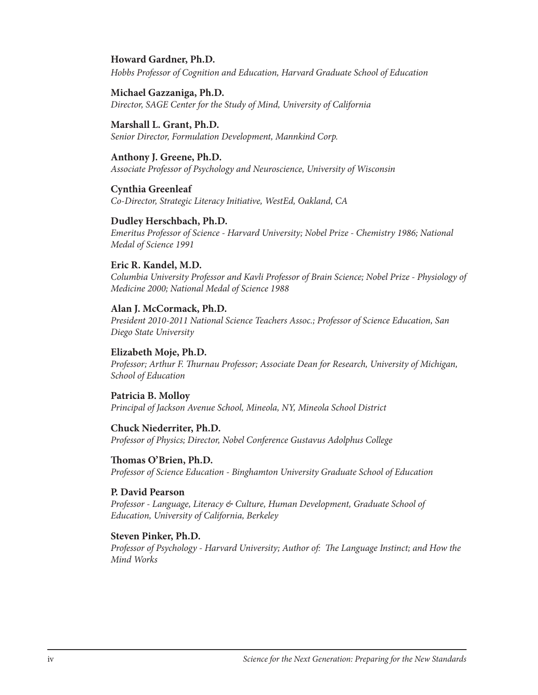#### **Howard Gardner, Ph.D.** *Hobbs Professor of Cognition and Education, Harvard Graduate School of Education*

**Michael Gazzaniga, Ph.D.** *Director, SAGE Center for the Study of Mind, University of California*

**Marshall L. Grant, Ph.D.** *Senior Director, Formulation Development, Mannkind Corp.*

**Anthony J. Greene, Ph.D.** *Associate Professor of Psychology and Neuroscience, University of Wisconsin*

**Cynthia Greenleaf** *Co-Director, Strategic Literacy Initiative, WestEd, Oakland, CA*

**Dudley Herschbach, Ph.D.** *Emeritus Professor of Science - Harvard University; Nobel Prize - Chemistry 1986; National Medal of Science 1991*

**Eric R. Kandel, M.D.**

*Columbia University Professor and Kavli Professor of Brain Science; Nobel Prize - Physiology of Medicine 2000; National Medal of Science 1988*

**Alan J. McCormack, Ph.D.** *President 2010-2011 National Science Teachers Assoc.; Professor of Science Education, San Diego State University*

#### **Elizabeth Moje, Ph.D.**

*Professor; Arthur F. Thurnau Professor; Associate Dean for Research, University of Michigan, School of Education*

**Patricia B. Molloy** *Principal of Jackson Avenue School, Mineola, NY, Mineola School District*

**Chuck Niederriter, Ph.D.** *Professor of Physics; Director, Nobel Conference Gustavus Adolphus College*

**Thomas O'Brien, Ph.D.** *Professor of Science Education - Binghamton University Graduate School of Education* 

**P. David Pearson**

*Professor - Language, Literacy & Culture, Human Development, Graduate School of Education, University of California, Berkeley*

#### **Steven Pinker, Ph.D.**

*Professor of Psychology - Harvard University; Author of: The Language Instinct; and How the Mind Works*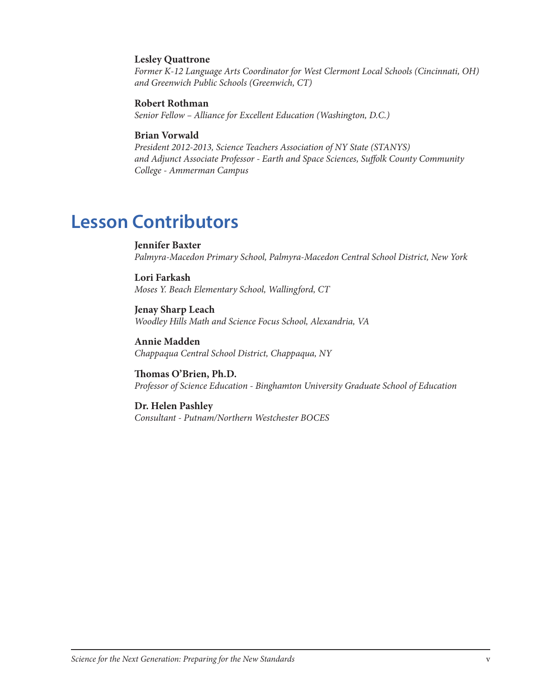#### **Lesley Quattrone**

*Former K-12 Language Arts Coordinator for West Clermont Local Schools (Cincinnati, OH) and Greenwich Public Schools (Greenwich, CT)*

#### **Robert Rothman**

*Senior Fellow – Alliance for Excellent Education (Washington, D.C.)*

#### **Brian Vorwald**

*President 2012-2013, Science Teachers Association of NY State (STANYS) and Adjunct Associate Professor - Earth and Space Sciences, Suffolk County Community College - Ammerman Campus*

## **Lesson Contributors**

#### **Jennifer Baxter**

*Palmyra-Macedon Primary School, Palmyra-Macedon Central School District, New York*

**Lori Farkash** *Moses Y. Beach Elementary School, Wallingford, CT*

**Jenay Sharp Leach** *Woodley Hills Math and Science Focus School, Alexandria, VA*

**Annie Madden** *Chappaqua Central School District, Chappaqua, NY*

**Thomas O'Brien, Ph.D.** *Professor of Science Education - Binghamton University Graduate School of Education*

**Dr. Helen Pashley** *Consultant - Putnam/Northern Westchester BOCES*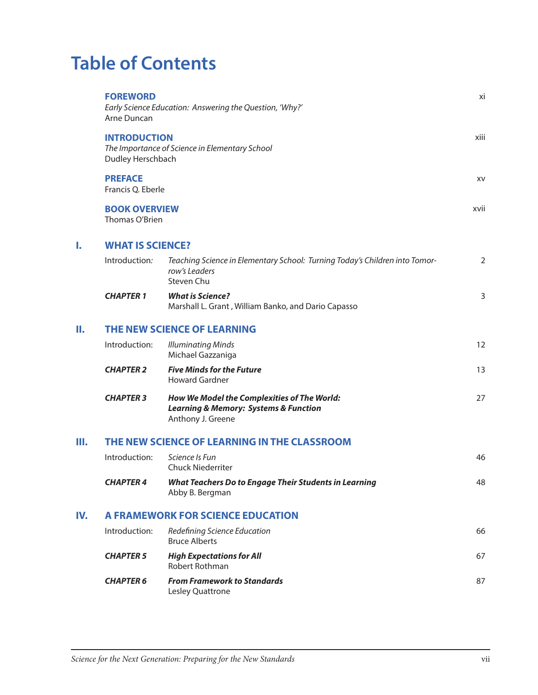# **Table of Contents**

|     | <b>FOREWORD</b><br>Early Science Education: Answering the Question, 'Why?'<br>Arne Duncan  |                                                                                                                          | xi   |  |
|-----|--------------------------------------------------------------------------------------------|--------------------------------------------------------------------------------------------------------------------------|------|--|
|     | <b>INTRODUCTION</b><br>The Importance of Science in Elementary School<br>Dudley Herschbach |                                                                                                                          | xiii |  |
|     | <b>PREFACE</b><br>Francis Q. Eberle                                                        |                                                                                                                          | XV   |  |
|     | <b>BOOK OVERVIEW</b><br>Thomas O'Brien                                                     |                                                                                                                          | xvii |  |
| I.  | <b>WHAT IS SCIENCE?</b>                                                                    |                                                                                                                          |      |  |
|     | Introduction:                                                                              | Teaching Science in Elementary School: Turning Today's Children into Tomor-<br>row's Leaders<br>Steven Chu               | 2    |  |
|     | <b>CHAPTER 1</b>                                                                           | <b>What is Science?</b><br>Marshall L. Grant, William Banko, and Dario Capasso                                           | 3    |  |
| ΙΙ. | THE NEW SCIENCE OF LEARNING                                                                |                                                                                                                          |      |  |
|     | Introduction:                                                                              | <b>Illuminating Minds</b><br>Michael Gazzaniga                                                                           | 12   |  |
|     | <b>CHAPTER 2</b>                                                                           | <b>Five Minds for the Future</b><br><b>Howard Gardner</b>                                                                | 13   |  |
|     | <b>CHAPTER 3</b>                                                                           | How We Model the Complexities of The World:<br><b>Learning &amp; Memory: Systems &amp; Function</b><br>Anthony J. Greene | 27   |  |
| Ш.  | THE NEW SCIENCE OF LEARNING IN THE CLASSROOM                                               |                                                                                                                          |      |  |
|     | Introduction:                                                                              | Science Is Fun<br><b>Chuck Niederriter</b>                                                                               | 46   |  |
|     | <b>CHAPTER 4</b>                                                                           | What Teachers Do to Engage Their Students in Learning<br>Abby B. Bergman                                                 | 48   |  |
| IV. | <b>A FRAMEWORK FOR SCIENCE EDUCATION</b>                                                   |                                                                                                                          |      |  |
|     | Introduction:                                                                              | Redefining Science Education<br><b>Bruce Alberts</b>                                                                     | 66   |  |
|     | <b>CHAPTER 5</b>                                                                           | <b>High Expectations for All</b><br>Robert Rothman                                                                       | 67   |  |
|     | <b>CHAPTER 6</b>                                                                           | <b>From Framework to Standards</b><br>Lesley Quattrone                                                                   | 87   |  |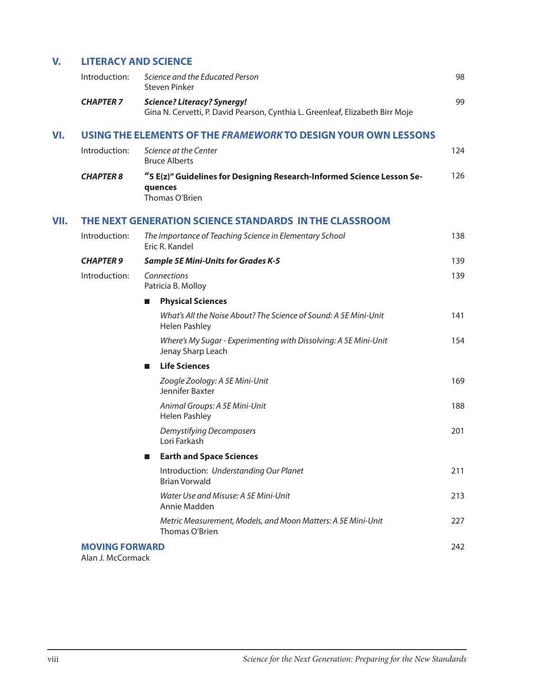## **V. LITERACY AND SCIENCE**

|      | Introduction:                                                  | Science and the Educated Person<br><b>Steven Pinker</b>                                                             | 98  |  |
|------|----------------------------------------------------------------|---------------------------------------------------------------------------------------------------------------------|-----|--|
|      | <b>CHAPTER 7</b>                                               | <b>Science? Literacy? Synergy!</b><br>Gina N. Cervetti, P. David Pearson, Cynthia L. Greenleaf, Elizabeth Birr Moje | 99  |  |
| VI.  | USING THE ELEMENTS OF THE FRAMEWORK TO DESIGN YOUR OWN LESSONS |                                                                                                                     |     |  |
|      | Introduction:                                                  | Science at the Center<br><b>Bruce Alberts</b>                                                                       | 124 |  |
|      | <b>CHAPTER 8</b>                                               | "5 E(z)" Guidelines for Designing Research-Informed Science Lesson Se-<br>quences<br>Thomas O'Brien                 | 126 |  |
| VII. | THE NEXT GENERATION SCIENCE STANDARDS IN THE CLASSROOM         |                                                                                                                     |     |  |
|      | Introduction:                                                  | The Importance of Teaching Science in Elementary School<br>Eric R. Kandel                                           | 138 |  |
|      | <b>CHAPTER 9</b>                                               | <b>Sample 5E Mini-Units for Grades K-5</b>                                                                          | 139 |  |
|      | Introduction:                                                  | Connections<br>Patricia B. Molloy                                                                                   | 139 |  |
|      |                                                                | <b>Physical Sciences</b><br>■                                                                                       |     |  |
|      |                                                                | What's All the Noise About? The Science of Sound: A 5E Mini-Unit<br><b>Helen Pashley</b>                            | 141 |  |
|      |                                                                | Where's My Sugar - Experimenting with Dissolving: A 5E Mini-Unit<br>Jenay Sharp Leach                               | 154 |  |
|      |                                                                | <b>Life Sciences</b>                                                                                                |     |  |
|      |                                                                | Zoogle Zoology: A 5E Mini-Unit<br>Jennifer Baxter                                                                   | 169 |  |
|      |                                                                | Animal Groups: A 5E Mini-Unit<br><b>Helen Pashley</b>                                                               | 188 |  |
|      |                                                                | Demystifying Decomposers<br>Lori Farkash                                                                            | 201 |  |
|      |                                                                | <b>Earth and Space Sciences</b><br>п                                                                                |     |  |
|      |                                                                | Introduction: Understanding Our Planet<br><b>Brian Vorwald</b>                                                      | 211 |  |
|      |                                                                | Water Use and Misuse: A 5E Mini-Unit<br>Annie Madden                                                                | 213 |  |
|      |                                                                | Metric Measurement, Models, and Moon Matters: A 5E Mini-Unit<br>Thomas O'Brien                                      | 227 |  |
|      | <b>MOVING FORWARD</b><br>Alan J. McCormack                     |                                                                                                                     |     |  |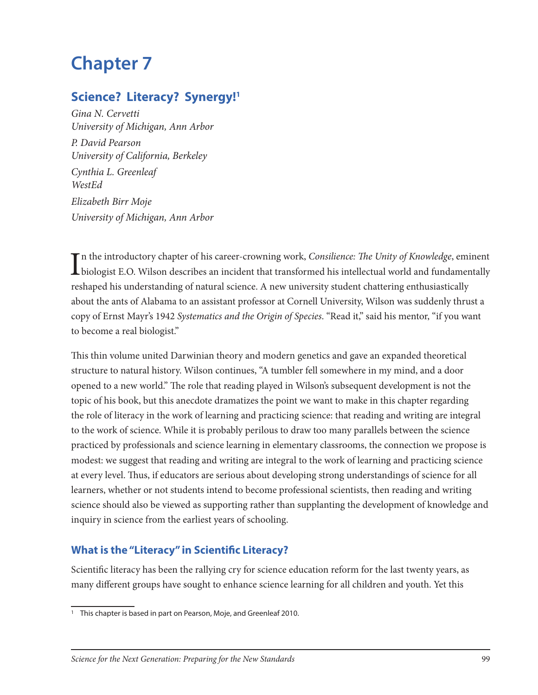# **Chapter 7**

## **Science? Literacy? Synergy!1**

*Gina N. Cervetti University of Michigan, Ann Arbor P. David Pearson University of California, Berkeley Cynthia L. Greenleaf WestEd Elizabeth Birr Moje University of Michigan, Ann Arbor*

In the introductory chapter of his career-crowning work, *Consilience: The Unity of Knowledge*, eminent biologist E.O. Wilson describes an incident that transformed his intellectual world and fundamentally n the introductory chapter of his career-crowning work, *Consilience: The Unity of Knowledge*, eminent reshaped his understanding of natural science. A new university student chattering enthusiastically about the ants of Alabama to an assistant professor at Cornell University, Wilson was suddenly thrust a copy of Ernst Mayr's 1942 *Systematics and the Origin of Species*. "Read it," said his mentor, "if you want to become a real biologist."

This thin volume united Darwinian theory and modern genetics and gave an expanded theoretical structure to natural history. Wilson continues, "A tumbler fell somewhere in my mind, and a door opened to a new world." The role that reading played in Wilson's subsequent development is not the topic of his book, but this anecdote dramatizes the point we want to make in this chapter regarding the role of literacy in the work of learning and practicing science: that reading and writing are integral to the work of science. While it is probably perilous to draw too many parallels between the science practiced by professionals and science learning in elementary classrooms, the connection we propose is modest: we suggest that reading and writing are integral to the work of learning and practicing science at every level. Thus, if educators are serious about developing strong understandings of science for all learners, whether or not students intend to become professional scientists, then reading and writing science should also be viewed as supporting rather than supplanting the development of knowledge and inquiry in science from the earliest years of schooling.

## **What is the "Literacy" in Scientific Literacy?**

Scientific literacy has been the rallying cry for science education reform for the last twenty years, as many different groups have sought to enhance science learning for all children and youth. Yet this

<sup>1</sup> This chapter is based in part on Pearson, Moje, and Greenleaf 2010.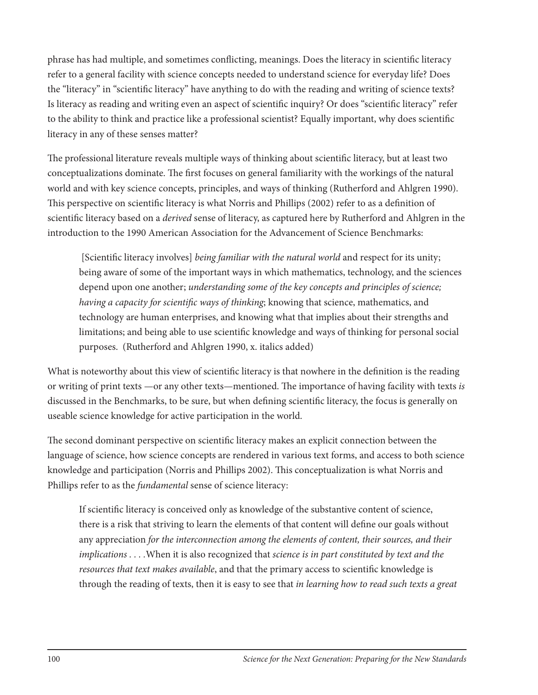phrase has had multiple, and sometimes conflicting, meanings. Does the literacy in scientific literacy refer to a general facility with science concepts needed to understand science for everyday life? Does the "literacy" in "scientific literacy" have anything to do with the reading and writing of science texts? Is literacy as reading and writing even an aspect of scientific inquiry? Or does "scientific literacy" refer to the ability to think and practice like a professional scientist? Equally important, why does scientific literacy in any of these senses matter?

The professional literature reveals multiple ways of thinking about scientific literacy, but at least two conceptualizations dominate. The first focuses on general familiarity with the workings of the natural world and with key science concepts, principles, and ways of thinking (Rutherford and Ahlgren 1990). This perspective on scientific literacy is what Norris and Phillips (2002) refer to as a definition of scientific literacy based on a *derived* sense of literacy, as captured here by Rutherford and Ahlgren in the introduction to the 1990 American Association for the Advancement of Science Benchmarks:

 [Scientific literacy involves] *being familiar with the natural world* and respect for its unity; being aware of some of the important ways in which mathematics, technology, and the sciences depend upon one another; *understanding some of the key concepts and principles of science; having a capacity for scientific ways of thinking*; knowing that science, mathematics, and technology are human enterprises, and knowing what that implies about their strengths and limitations; and being able to use scientific knowledge and ways of thinking for personal social purposes. (Rutherford and Ahlgren 1990, x. italics added)

What is noteworthy about this view of scientific literacy is that nowhere in the definition is the reading or writing of print texts —or any other texts—mentioned. The importance of having facility with texts *is* discussed in the Benchmarks, to be sure, but when defining scientific literacy, the focus is generally on useable science knowledge for active participation in the world.

The second dominant perspective on scientific literacy makes an explicit connection between the language of science, how science concepts are rendered in various text forms, and access to both science knowledge and participation (Norris and Phillips 2002). This conceptualization is what Norris and Phillips refer to as the *fundamental* sense of science literacy:

If scientific literacy is conceived only as knowledge of the substantive content of science, there is a risk that striving to learn the elements of that content will define our goals without any appreciation *for the interconnection among the elements of content, their sources, and their implications . . . .*When it is also recognized that *science is in part constituted by text and the resources that text makes available*, and that the primary access to scientific knowledge is through the reading of texts, then it is easy to see that *in learning how to read such texts a great*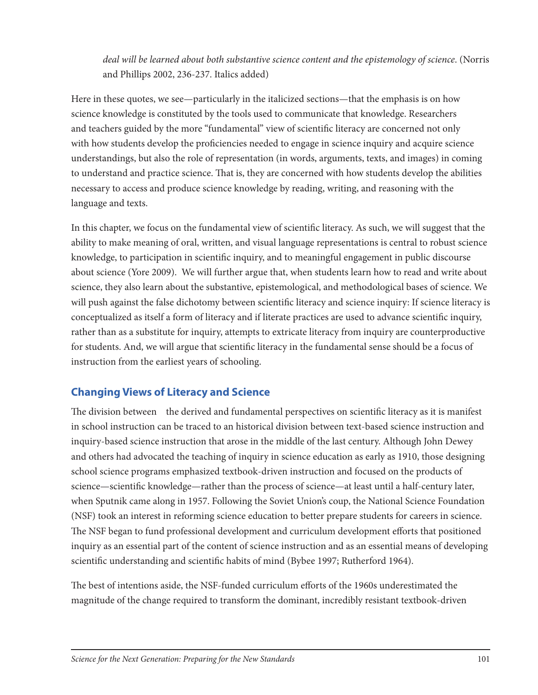*deal will be learned about both substantive science content and the epistemology of science*. (Norris and Phillips 2002, 236-237. Italics added)

Here in these quotes, we see—particularly in the italicized sections—that the emphasis is on how science knowledge is constituted by the tools used to communicate that knowledge. Researchers and teachers guided by the more "fundamental" view of scientific literacy are concerned not only with how students develop the proficiencies needed to engage in science inquiry and acquire science understandings, but also the role of representation (in words, arguments, texts, and images) in coming to understand and practice science. That is, they are concerned with how students develop the abilities necessary to access and produce science knowledge by reading, writing, and reasoning with the language and texts.

In this chapter, we focus on the fundamental view of scientific literacy. As such, we will suggest that the ability to make meaning of oral, written, and visual language representations is central to robust science knowledge, to participation in scientific inquiry, and to meaningful engagement in public discourse about science (Yore 2009). We will further argue that, when students learn how to read and write about science, they also learn about the substantive, epistemological, and methodological bases of science. We will push against the false dichotomy between scientific literacy and science inquiry: If science literacy is conceptualized as itself a form of literacy and if literate practices are used to advance scientific inquiry, rather than as a substitute for inquiry, attempts to extricate literacy from inquiry are counterproductive for students. And, we will argue that scientific literacy in the fundamental sense should be a focus of instruction from the earliest years of schooling.

## **Changing Views of Literacy and Science**

The division between the derived and fundamental perspectives on scientific literacy as it is manifest in school instruction can be traced to an historical division between text-based science instruction and inquiry-based science instruction that arose in the middle of the last century. Although John Dewey and others had advocated the teaching of inquiry in science education as early as 1910, those designing school science programs emphasized textbook-driven instruction and focused on the products of science—scientific knowledge—rather than the process of science—at least until a half-century later, when Sputnik came along in 1957. Following the Soviet Union's coup, the National Science Foundation (NSF) took an interest in reforming science education to better prepare students for careers in science. The NSF began to fund professional development and curriculum development efforts that positioned inquiry as an essential part of the content of science instruction and as an essential means of developing scientific understanding and scientific habits of mind (Bybee 1997; Rutherford 1964).

The best of intentions aside, the NSF-funded curriculum efforts of the 1960s underestimated the magnitude of the change required to transform the dominant, incredibly resistant textbook-driven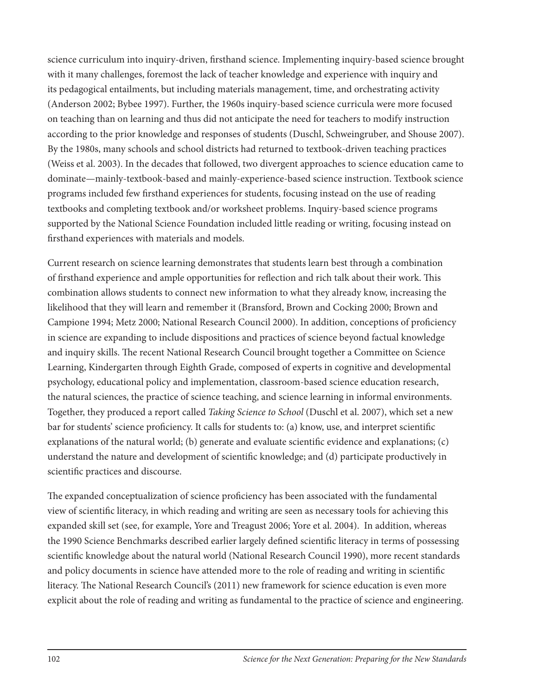science curriculum into inquiry-driven, firsthand science. Implementing inquiry-based science brought with it many challenges, foremost the lack of teacher knowledge and experience with inquiry and its pedagogical entailments, but including materials management, time, and orchestrating activity (Anderson 2002; Bybee 1997). Further, the 1960s inquiry-based science curricula were more focused on teaching than on learning and thus did not anticipate the need for teachers to modify instruction according to the prior knowledge and responses of students (Duschl, Schweingruber, and Shouse 2007). By the 1980s, many schools and school districts had returned to textbook-driven teaching practices (Weiss et al. 2003). In the decades that followed, two divergent approaches to science education came to dominate—mainly-textbook-based and mainly-experience-based science instruction. Textbook science programs included few firsthand experiences for students, focusing instead on the use of reading textbooks and completing textbook and/or worksheet problems. Inquiry-based science programs supported by the National Science Foundation included little reading or writing, focusing instead on firsthand experiences with materials and models.

Current research on science learning demonstrates that students learn best through a combination of firsthand experience and ample opportunities for reflection and rich talk about their work. This combination allows students to connect new information to what they already know, increasing the likelihood that they will learn and remember it (Bransford, Brown and Cocking 2000; Brown and Campione 1994; Metz 2000; National Research Council 2000). In addition, conceptions of proficiency in science are expanding to include dispositions and practices of science beyond factual knowledge and inquiry skills. The recent National Research Council brought together a Committee on Science Learning, Kindergarten through Eighth Grade, composed of experts in cognitive and developmental psychology, educational policy and implementation, classroom-based science education research, the natural sciences, the practice of science teaching, and science learning in informal environments. Together, they produced a report called *Taking Science to School* (Duschl et al. 2007), which set a new bar for students' science proficiency. It calls for students to: (a) know, use, and interpret scientific explanations of the natural world; (b) generate and evaluate scientific evidence and explanations; (c) understand the nature and development of scientific knowledge; and (d) participate productively in scientific practices and discourse.

The expanded conceptualization of science proficiency has been associated with the fundamental view of scientific literacy, in which reading and writing are seen as necessary tools for achieving this expanded skill set (see, for example, Yore and Treagust 2006; Yore et al. 2004). In addition, whereas the 1990 Science Benchmarks described earlier largely defined scientific literacy in terms of possessing scientific knowledge about the natural world (National Research Council 1990), more recent standards and policy documents in science have attended more to the role of reading and writing in scientific literacy. The National Research Council's (2011) new framework for science education is even more explicit about the role of reading and writing as fundamental to the practice of science and engineering.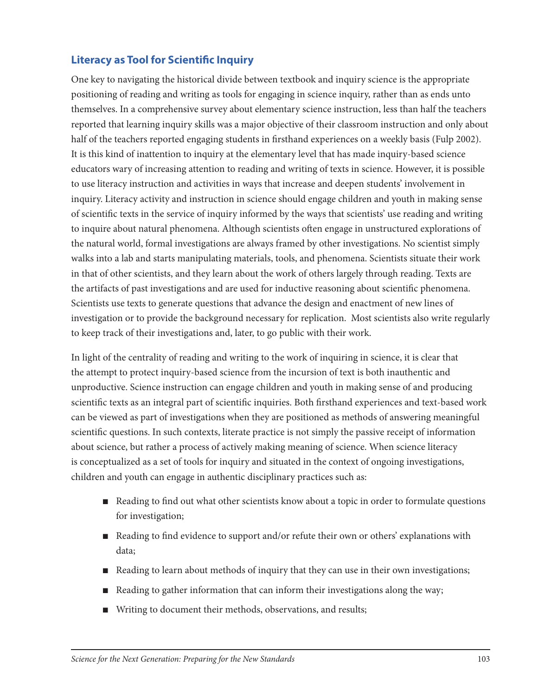## **Literacy as Tool for Scientific Inquiry**

One key to navigating the historical divide between textbook and inquiry science is the appropriate positioning of reading and writing as tools for engaging in science inquiry, rather than as ends unto themselves. In a comprehensive survey about elementary science instruction, less than half the teachers reported that learning inquiry skills was a major objective of their classroom instruction and only about half of the teachers reported engaging students in firsthand experiences on a weekly basis (Fulp 2002). It is this kind of inattention to inquiry at the elementary level that has made inquiry-based science educators wary of increasing attention to reading and writing of texts in science. However, it is possible to use literacy instruction and activities in ways that increase and deepen students' involvement in inquiry. Literacy activity and instruction in science should engage children and youth in making sense of scientific texts in the service of inquiry informed by the ways that scientists' use reading and writing to inquire about natural phenomena. Although scientists often engage in unstructured explorations of the natural world, formal investigations are always framed by other investigations. No scientist simply walks into a lab and starts manipulating materials, tools, and phenomena. Scientists situate their work in that of other scientists, and they learn about the work of others largely through reading. Texts are the artifacts of past investigations and are used for inductive reasoning about scientific phenomena. Scientists use texts to generate questions that advance the design and enactment of new lines of investigation or to provide the background necessary for replication. Most scientists also write regularly to keep track of their investigations and, later, to go public with their work.

In light of the centrality of reading and writing to the work of inquiring in science, it is clear that the attempt to protect inquiry-based science from the incursion of text is both inauthentic and unproductive. Science instruction can engage children and youth in making sense of and producing scientific texts as an integral part of scientific inquiries. Both firsthand experiences and text-based work can be viewed as part of investigations when they are positioned as methods of answering meaningful scientific questions. In such contexts, literate practice is not simply the passive receipt of information about science, but rather a process of actively making meaning of science. When science literacy is conceptualized as a set of tools for inquiry and situated in the context of ongoing investigations, children and youth can engage in authentic disciplinary practices such as:

- <sup>n</sup> Reading to find out what other scientists know about a topic in order to formulate questions for investigation;
- Reading to find evidence to support and/or refute their own or others' explanations with data;
- n Reading to learn about methods of inquiry that they can use in their own investigations;
- $\blacksquare$  Reading to gather information that can inform their investigations along the way;
- <sup>n</sup> Writing to document their methods, observations, and results;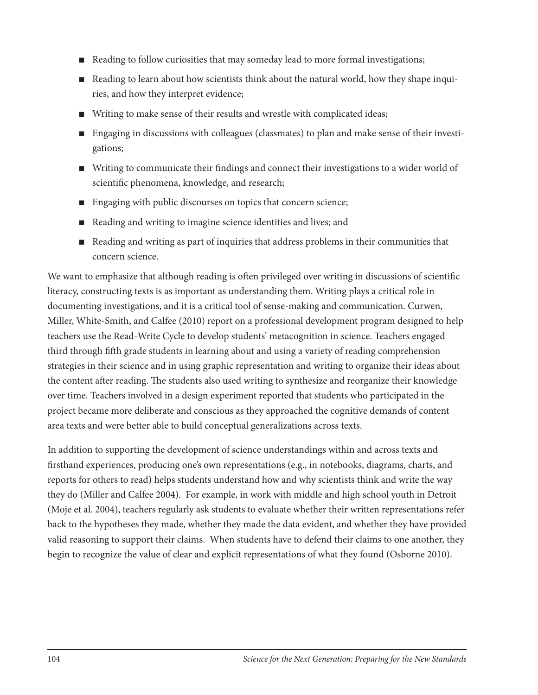- n Reading to follow curiosities that may someday lead to more formal investigations;
- <sup>n</sup> Reading to learn about how scientists think about the natural world, how they shape inquiries, and how they interpret evidence;
- Writing to make sense of their results and wrestle with complicated ideas;
- <sup>n</sup> Engaging in discussions with colleagues (classmates) to plan and make sense of their investigations;
- <sup>n</sup> Writing to communicate their findings and connect their investigations to a wider world of scientific phenomena, knowledge, and research;
- Engaging with public discourses on topics that concern science;
- Reading and writing to imagine science identities and lives; and
- <sup>n</sup> Reading and writing as part of inquiries that address problems in their communities that concern science.

We want to emphasize that although reading is often privileged over writing in discussions of scientific literacy, constructing texts is as important as understanding them. Writing plays a critical role in documenting investigations, and it is a critical tool of sense-making and communication. Curwen, Miller, White-Smith, and Calfee (2010) report on a professional development program designed to help teachers use the Read-Write Cycle to develop students' metacognition in science. Teachers engaged third through fifth grade students in learning about and using a variety of reading comprehension strategies in their science and in using graphic representation and writing to organize their ideas about the content after reading. The students also used writing to synthesize and reorganize their knowledge over time. Teachers involved in a design experiment reported that students who participated in the project became more deliberate and conscious as they approached the cognitive demands of content area texts and were better able to build conceptual generalizations across texts.

In addition to supporting the development of science understandings within and across texts and firsthand experiences, producing one's own representations (e.g., in notebooks, diagrams, charts, and reports for others to read) helps students understand how and why scientists think and write the way they do (Miller and Calfee 2004). For example, in work with middle and high school youth in Detroit (Moje et al. 2004), teachers regularly ask students to evaluate whether their written representations refer back to the hypotheses they made, whether they made the data evident, and whether they have provided valid reasoning to support their claims. When students have to defend their claims to one another, they begin to recognize the value of clear and explicit representations of what they found (Osborne 2010).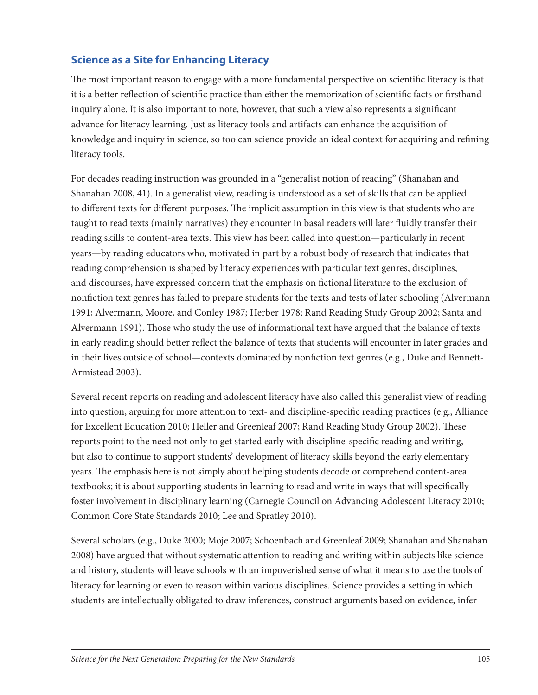## **Science as a Site for Enhancing Literacy**

The most important reason to engage with a more fundamental perspective on scientific literacy is that it is a better reflection of scientific practice than either the memorization of scientific facts or firsthand inquiry alone. It is also important to note, however, that such a view also represents a significant advance for literacy learning. Just as literacy tools and artifacts can enhance the acquisition of knowledge and inquiry in science, so too can science provide an ideal context for acquiring and refining literacy tools.

For decades reading instruction was grounded in a "generalist notion of reading" (Shanahan and Shanahan 2008, 41). In a generalist view, reading is understood as a set of skills that can be applied to different texts for different purposes. The implicit assumption in this view is that students who are taught to read texts (mainly narratives) they encounter in basal readers will later fluidly transfer their reading skills to content-area texts. This view has been called into question—particularly in recent years—by reading educators who, motivated in part by a robust body of research that indicates that reading comprehension is shaped by literacy experiences with particular text genres, disciplines, and discourses, have expressed concern that the emphasis on fictional literature to the exclusion of nonfiction text genres has failed to prepare students for the texts and tests of later schooling (Alvermann 1991; Alvermann, Moore, and Conley 1987; Herber 1978; Rand Reading Study Group 2002; Santa and Alvermann 1991). Those who study the use of informational text have argued that the balance of texts in early reading should better reflect the balance of texts that students will encounter in later grades and in their lives outside of school—contexts dominated by nonfiction text genres (e.g., Duke and Bennett-Armistead 2003).

Several recent reports on reading and adolescent literacy have also called this generalist view of reading into question, arguing for more attention to text- and discipline-specific reading practices (e.g., Alliance for Excellent Education 2010; Heller and Greenleaf 2007; Rand Reading Study Group 2002). These reports point to the need not only to get started early with discipline-specific reading and writing, but also to continue to support students' development of literacy skills beyond the early elementary years. The emphasis here is not simply about helping students decode or comprehend content-area textbooks; it is about supporting students in learning to read and write in ways that will specifically foster involvement in disciplinary learning (Carnegie Council on Advancing Adolescent Literacy 2010; Common Core State Standards 2010; Lee and Spratley 2010).

Several scholars (e.g., Duke 2000; Moje 2007; Schoenbach and Greenleaf 2009; Shanahan and Shanahan 2008) have argued that without systematic attention to reading and writing within subjects like science and history, students will leave schools with an impoverished sense of what it means to use the tools of literacy for learning or even to reason within various disciplines. Science provides a setting in which students are intellectually obligated to draw inferences, construct arguments based on evidence, infer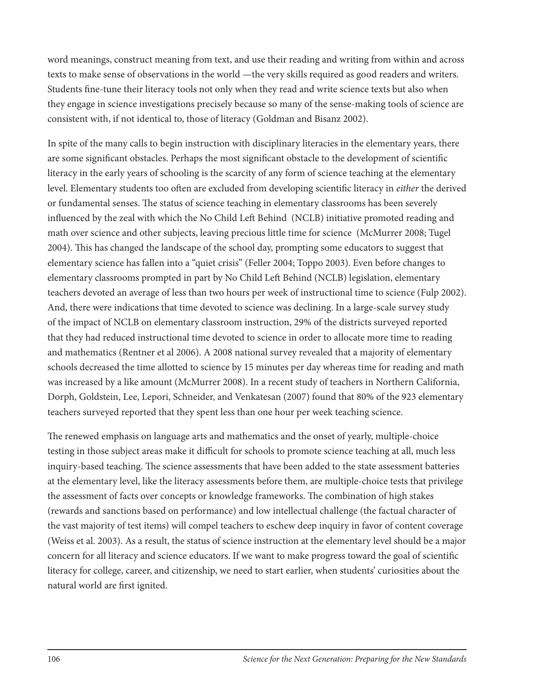word meanings, construct meaning from text, and use their reading and writing from within and across texts to make sense of observations in the world —the very skills required as good readers and writers. Students fine-tune their literacy tools not only when they read and write science texts but also when they engage in science investigations precisely because so many of the sense-making tools of science are consistent with, if not identical to, those of literacy (Goldman and Bisanz 2002).

In spite of the many calls to begin instruction with disciplinary literacies in the elementary years, there are some significant obstacles. Perhaps the most significant obstacle to the development of scientific literacy in the early years of schooling is the scarcity of any form of science teaching at the elementary level. Elementary students too often are excluded from developing scientific literacy in *either* the derived or fundamental senses. The status of science teaching in elementary classrooms has been severely influenced by the zeal with which the No Child Left Behind (NCLB) initiative promoted reading and math over science and other subjects, leaving precious little time for science (McMurrer 2008; Tugel 2004). This has changed the landscape of the school day, prompting some educators to suggest that elementary science has fallen into a "quiet crisis" (Feller 2004; Toppo 2003). Even before changes to elementary classrooms prompted in part by No Child Left Behind (NCLB) legislation, elementary teachers devoted an average of less than two hours per week of instructional time to science (Fulp 2002). And, there were indications that time devoted to science was declining. In a large-scale survey study of the impact of NCLB on elementary classroom instruction, 29% of the districts surveyed reported that they had reduced instructional time devoted to science in order to allocate more time to reading and mathematics (Rentner et al 2006). A 2008 national survey revealed that a majority of elementary schools decreased the time allotted to science by 15 minutes per day whereas time for reading and math was increased by a like amount (McMurrer 2008). In a recent study of teachers in Northern California, Dorph, Goldstein, Lee, Lepori, Schneider, and Venkatesan (2007) found that 80% of the 923 elementary teachers surveyed reported that they spent less than one hour per week teaching science.

The renewed emphasis on language arts and mathematics and the onset of yearly, multiple-choice testing in those subject areas make it difficult for schools to promote science teaching at all, much less inquiry-based teaching. The science assessments that have been added to the state assessment batteries at the elementary level, like the literacy assessments before them, are multiple-choice tests that privilege the assessment of facts over concepts or knowledge frameworks. The combination of high stakes (rewards and sanctions based on performance) and low intellectual challenge (the factual character of the vast majority of test items) will compel teachers to eschew deep inquiry in favor of content coverage (Weiss et al. 2003). As a result, the status of science instruction at the elementary level should be a major concern for all literacy and science educators. If we want to make progress toward the goal of scientific literacy for college, career, and citizenship, we need to start earlier, when students' curiosities about the natural world are first ignited.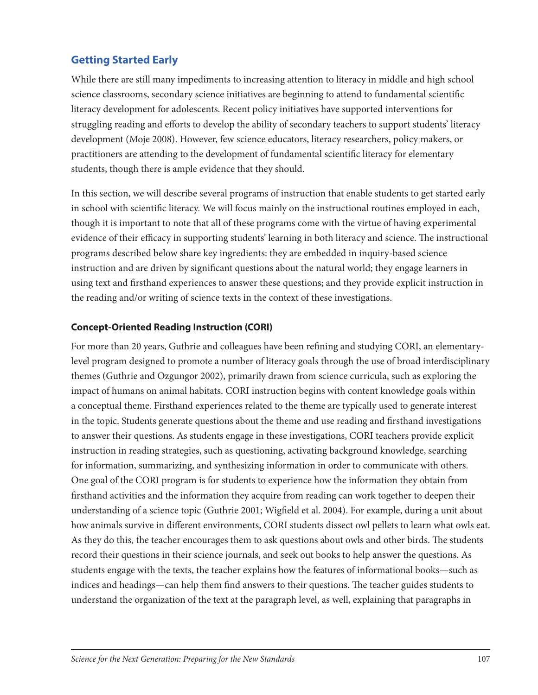## **Getting Started Early**

While there are still many impediments to increasing attention to literacy in middle and high school science classrooms, secondary science initiatives are beginning to attend to fundamental scientific literacy development for adolescents. Recent policy initiatives have supported interventions for struggling reading and efforts to develop the ability of secondary teachers to support students' literacy development (Moje 2008). However, few science educators, literacy researchers, policy makers, or practitioners are attending to the development of fundamental scientific literacy for elementary students, though there is ample evidence that they should.

In this section, we will describe several programs of instruction that enable students to get started early in school with scientific literacy. We will focus mainly on the instructional routines employed in each, though it is important to note that all of these programs come with the virtue of having experimental evidence of their efficacy in supporting students' learning in both literacy and science. The instructional programs described below share key ingredients: they are embedded in inquiry-based science instruction and are driven by significant questions about the natural world; they engage learners in using text and firsthand experiences to answer these questions; and they provide explicit instruction in the reading and/or writing of science texts in the context of these investigations.

#### **Concept-Oriented Reading Instruction (CORI)**

For more than 20 years, Guthrie and colleagues have been refining and studying CORI, an elementarylevel program designed to promote a number of literacy goals through the use of broad interdisciplinary themes (Guthrie and Ozgungor 2002), primarily drawn from science curricula, such as exploring the impact of humans on animal habitats. CORI instruction begins with content knowledge goals within a conceptual theme. Firsthand experiences related to the theme are typically used to generate interest in the topic. Students generate questions about the theme and use reading and firsthand investigations to answer their questions. As students engage in these investigations, CORI teachers provide explicit instruction in reading strategies, such as questioning, activating background knowledge, searching for information, summarizing, and synthesizing information in order to communicate with others. One goal of the CORI program is for students to experience how the information they obtain from firsthand activities and the information they acquire from reading can work together to deepen their understanding of a science topic (Guthrie 2001; Wigfield et al. 2004). For example, during a unit about how animals survive in different environments, CORI students dissect owl pellets to learn what owls eat. As they do this, the teacher encourages them to ask questions about owls and other birds. The students record their questions in their science journals, and seek out books to help answer the questions. As students engage with the texts, the teacher explains how the features of informational books—such as indices and headings—can help them find answers to their questions. The teacher guides students to understand the organization of the text at the paragraph level, as well, explaining that paragraphs in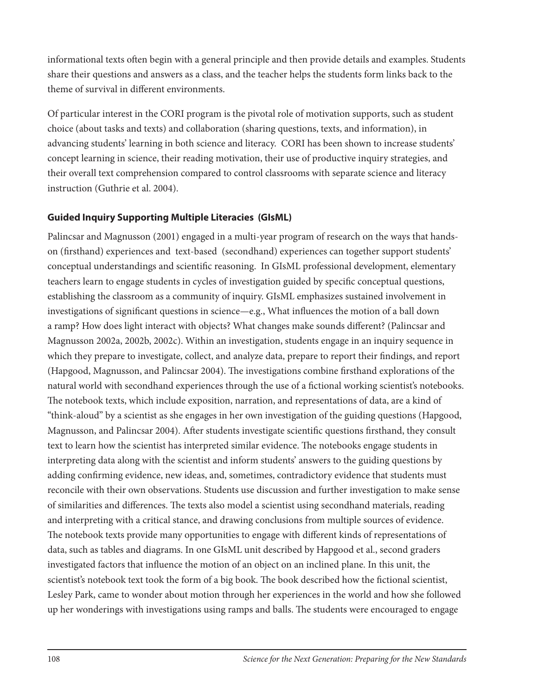informational texts often begin with a general principle and then provide details and examples. Students share their questions and answers as a class, and the teacher helps the students form links back to the theme of survival in different environments.

Of particular interest in the CORI program is the pivotal role of motivation supports, such as student choice (about tasks and texts) and collaboration (sharing questions, texts, and information), in advancing students' learning in both science and literacy. CORI has been shown to increase students' concept learning in science, their reading motivation, their use of productive inquiry strategies, and their overall text comprehension compared to control classrooms with separate science and literacy instruction (Guthrie et al. 2004).

#### **Guided Inquiry Supporting Multiple Literacies (GIsML)**

Palincsar and Magnusson (2001) engaged in a multi-year program of research on the ways that handson (firsthand) experiences and text-based (secondhand) experiences can together support students' conceptual understandings and scientific reasoning. In GIsML professional development, elementary teachers learn to engage students in cycles of investigation guided by specific conceptual questions, establishing the classroom as a community of inquiry. GIsML emphasizes sustained involvement in investigations of significant questions in science—e.g., What influences the motion of a ball down a ramp? How does light interact with objects? What changes make sounds different? (Palincsar and Magnusson 2002a, 2002b, 2002c). Within an investigation, students engage in an inquiry sequence in which they prepare to investigate, collect, and analyze data, prepare to report their findings, and report (Hapgood, Magnusson, and Palincsar 2004). The investigations combine firsthand explorations of the natural world with secondhand experiences through the use of a fictional working scientist's notebooks. The notebook texts, which include exposition, narration, and representations of data, are a kind of "think-aloud" by a scientist as she engages in her own investigation of the guiding questions (Hapgood, Magnusson, and Palincsar 2004). After students investigate scientific questions firsthand, they consult text to learn how the scientist has interpreted similar evidence. The notebooks engage students in interpreting data along with the scientist and inform students' answers to the guiding questions by adding confirming evidence, new ideas, and, sometimes, contradictory evidence that students must reconcile with their own observations. Students use discussion and further investigation to make sense of similarities and differences. The texts also model a scientist using secondhand materials, reading and interpreting with a critical stance, and drawing conclusions from multiple sources of evidence. The notebook texts provide many opportunities to engage with different kinds of representations of data, such as tables and diagrams. In one GIsML unit described by Hapgood et al., second graders investigated factors that influence the motion of an object on an inclined plane. In this unit, the scientist's notebook text took the form of a big book. The book described how the fictional scientist, Lesley Park, came to wonder about motion through her experiences in the world and how she followed up her wonderings with investigations using ramps and balls. The students were encouraged to engage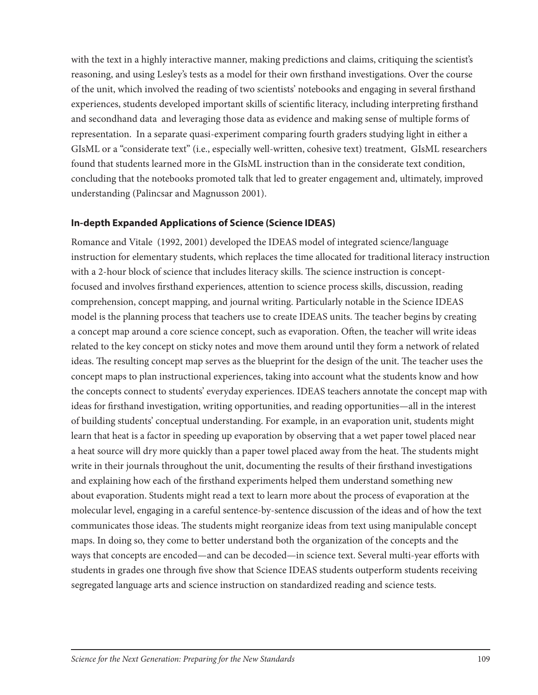with the text in a highly interactive manner, making predictions and claims, critiquing the scientist's reasoning, and using Lesley's tests as a model for their own firsthand investigations. Over the course of the unit, which involved the reading of two scientists' notebooks and engaging in several firsthand experiences, students developed important skills of scientific literacy, including interpreting firsthand and secondhand data and leveraging those data as evidence and making sense of multiple forms of representation. In a separate quasi-experiment comparing fourth graders studying light in either a GIsML or a "considerate text" (i.e., especially well-written, cohesive text) treatment, GIsML researchers found that students learned more in the GIsML instruction than in the considerate text condition, concluding that the notebooks promoted talk that led to greater engagement and, ultimately, improved understanding (Palincsar and Magnusson 2001).

#### **In-depth Expanded Applications of Science (Science IDEAS)**

Romance and Vitale (1992, 2001) developed the IDEAS model of integrated science/language instruction for elementary students, which replaces the time allocated for traditional literacy instruction with a 2-hour block of science that includes literacy skills. The science instruction is conceptfocused and involves firsthand experiences, attention to science process skills, discussion, reading comprehension, concept mapping, and journal writing. Particularly notable in the Science IDEAS model is the planning process that teachers use to create IDEAS units. The teacher begins by creating a concept map around a core science concept, such as evaporation. Often, the teacher will write ideas related to the key concept on sticky notes and move them around until they form a network of related ideas. The resulting concept map serves as the blueprint for the design of the unit. The teacher uses the concept maps to plan instructional experiences, taking into account what the students know and how the concepts connect to students' everyday experiences. IDEAS teachers annotate the concept map with ideas for firsthand investigation, writing opportunities, and reading opportunities—all in the interest of building students' conceptual understanding. For example, in an evaporation unit, students might learn that heat is a factor in speeding up evaporation by observing that a wet paper towel placed near a heat source will dry more quickly than a paper towel placed away from the heat. The students might write in their journals throughout the unit, documenting the results of their firsthand investigations and explaining how each of the firsthand experiments helped them understand something new about evaporation. Students might read a text to learn more about the process of evaporation at the molecular level, engaging in a careful sentence-by-sentence discussion of the ideas and of how the text communicates those ideas. The students might reorganize ideas from text using manipulable concept maps. In doing so, they come to better understand both the organization of the concepts and the ways that concepts are encoded—and can be decoded—in science text. Several multi-year efforts with students in grades one through five show that Science IDEAS students outperform students receiving segregated language arts and science instruction on standardized reading and science tests.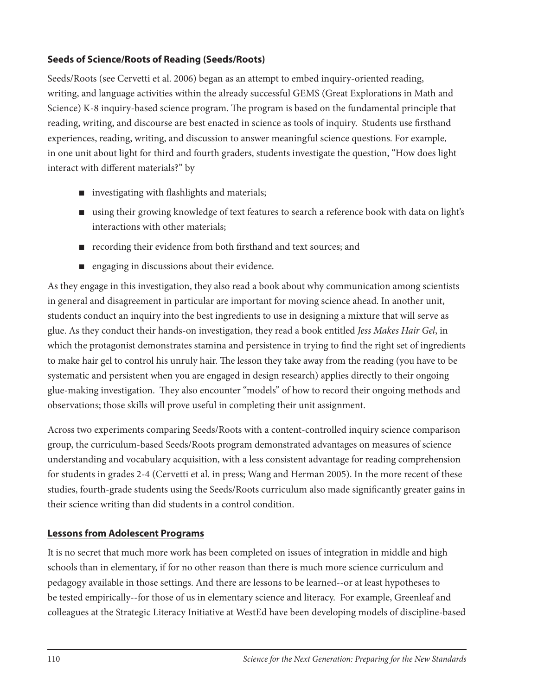## **Seeds of Science/Roots of Reading (Seeds/Roots)**

Seeds/Roots (see Cervetti et al. 2006) began as an attempt to embed inquiry-oriented reading, writing, and language activities within the already successful GEMS (Great Explorations in Math and Science) K-8 inquiry-based science program. The program is based on the fundamental principle that reading, writing, and discourse are best enacted in science as tools of inquiry. Students use firsthand experiences, reading, writing, and discussion to answer meaningful science questions. For example, in one unit about light for third and fourth graders, students investigate the question, "How does light interact with different materials?" by

- $\blacksquare$  investigating with flashlights and materials;
- using their growing knowledge of text features to search a reference book with data on light's interactions with other materials;
- n recording their evidence from both firsthand and text sources; and
- $\blacksquare$  engaging in discussions about their evidence.

As they engage in this investigation, they also read a book about why communication among scientists in general and disagreement in particular are important for moving science ahead. In another unit, students conduct an inquiry into the best ingredients to use in designing a mixture that will serve as glue. As they conduct their hands-on investigation, they read a book entitled *Jess Makes Hair Gel*, in which the protagonist demonstrates stamina and persistence in trying to find the right set of ingredients to make hair gel to control his unruly hair. The lesson they take away from the reading (you have to be systematic and persistent when you are engaged in design research) applies directly to their ongoing glue-making investigation. They also encounter "models" of how to record their ongoing methods and observations; those skills will prove useful in completing their unit assignment.

Across two experiments comparing Seeds/Roots with a content-controlled inquiry science comparison group, the curriculum-based Seeds/Roots program demonstrated advantages on measures of science understanding and vocabulary acquisition, with a less consistent advantage for reading comprehension for students in grades 2-4 (Cervetti et al. in press; Wang and Herman 2005). In the more recent of these studies, fourth-grade students using the Seeds/Roots curriculum also made significantly greater gains in their science writing than did students in a control condition.

#### **Lessons from Adolescent Programs**

It is no secret that much more work has been completed on issues of integration in middle and high schools than in elementary, if for no other reason than there is much more science curriculum and pedagogy available in those settings. And there are lessons to be learned--or at least hypotheses to be tested empirically--for those of us in elementary science and literacy. For example, Greenleaf and colleagues at the Strategic Literacy Initiative at WestEd have been developing models of discipline-based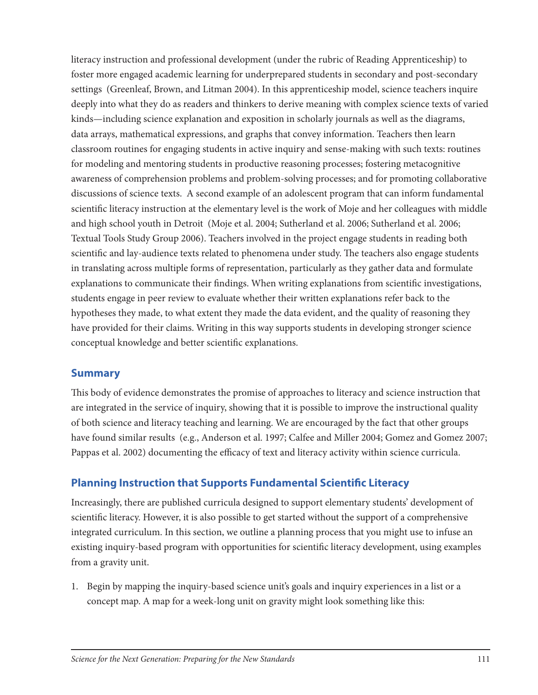literacy instruction and professional development (under the rubric of Reading Apprenticeship) to foster more engaged academic learning for underprepared students in secondary and post-secondary settings (Greenleaf, Brown, and Litman 2004). In this apprenticeship model, science teachers inquire deeply into what they do as readers and thinkers to derive meaning with complex science texts of varied kinds—including science explanation and exposition in scholarly journals as well as the diagrams, data arrays, mathematical expressions, and graphs that convey information. Teachers then learn classroom routines for engaging students in active inquiry and sense-making with such texts: routines for modeling and mentoring students in productive reasoning processes; fostering metacognitive awareness of comprehension problems and problem-solving processes; and for promoting collaborative discussions of science texts. A second example of an adolescent program that can inform fundamental scientific literacy instruction at the elementary level is the work of Moje and her colleagues with middle and high school youth in Detroit (Moje et al. 2004; Sutherland et al. 2006; Sutherland et al. 2006; Textual Tools Study Group 2006). Teachers involved in the project engage students in reading both scientific and lay-audience texts related to phenomena under study. The teachers also engage students in translating across multiple forms of representation, particularly as they gather data and formulate explanations to communicate their findings. When writing explanations from scientific investigations, students engage in peer review to evaluate whether their written explanations refer back to the hypotheses they made, to what extent they made the data evident, and the quality of reasoning they have provided for their claims. Writing in this way supports students in developing stronger science conceptual knowledge and better scientific explanations.

## **Summary**

This body of evidence demonstrates the promise of approaches to literacy and science instruction that are integrated in the service of inquiry, showing that it is possible to improve the instructional quality of both science and literacy teaching and learning. We are encouraged by the fact that other groups have found similar results (e.g., Anderson et al. 1997; Calfee and Miller 2004; Gomez and Gomez 2007; Pappas et al. 2002) documenting the efficacy of text and literacy activity within science curricula.

## **Planning Instruction that Supports Fundamental Scientific Literacy**

Increasingly, there are published curricula designed to support elementary students' development of scientific literacy. However, it is also possible to get started without the support of a comprehensive integrated curriculum. In this section, we outline a planning process that you might use to infuse an existing inquiry-based program with opportunities for scientific literacy development, using examples from a gravity unit.

1. Begin by mapping the inquiry-based science unit's goals and inquiry experiences in a list or a concept map. A map for a week-long unit on gravity might look something like this: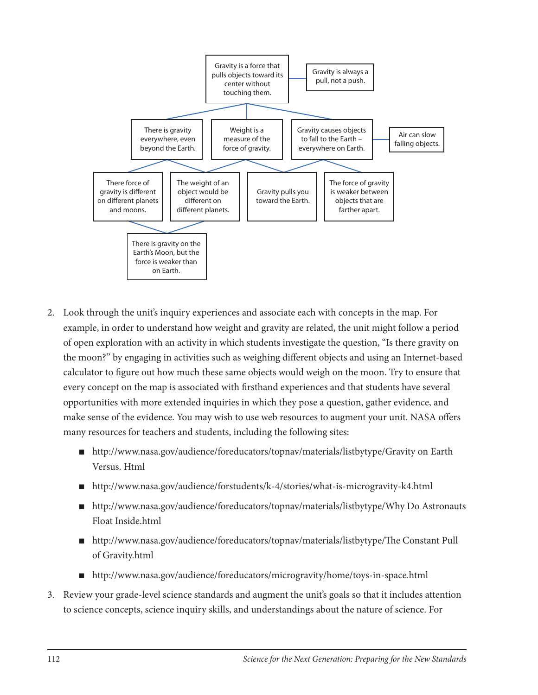

- 2. Look through the unit's inquiry experiences and associate each with concepts in the map. For example, in order to understand how weight and gravity are related, the unit might follow a period of open exploration with an activity in which students investigate the question, "Is there gravity on the moon?" by engaging in activities such as weighing different objects and using an Internet-based calculator to figure out how much these same objects would weigh on the moon. Try to ensure that every concept on the map is associated with firsthand experiences and that students have several opportunities with more extended inquiries in which they pose a question, gather evidence, and make sense of the evidence. You may wish to use web resources to augment your unit. NASA offers many resources for teachers and students, including the following sites:
	- nttp://www.nasa.gov/audience/foreducators/topnav/materials/listbytype/Gravity on Earth Versus. Html
	- <sup>n</sup> http://www.nasa.gov/audience/forstudents/k-4/stories/what-is-microgravity-k4.html
	- <sup>n</sup> http://www.nasa.gov/audience/foreducators/topnav/materials/listbytype/Why Do Astronauts Float Inside.html
	- <sup>n</sup> http://www.nasa.gov/audience/foreducators/topnav/materials/listbytype/The Constant Pull of Gravity.html
	- <sup>n</sup> http://www.nasa.gov/audience/foreducators/microgravity/home/toys-in-space.html
- 3. Review your grade-level science standards and augment the unit's goals so that it includes attention to science concepts, science inquiry skills, and understandings about the nature of science. For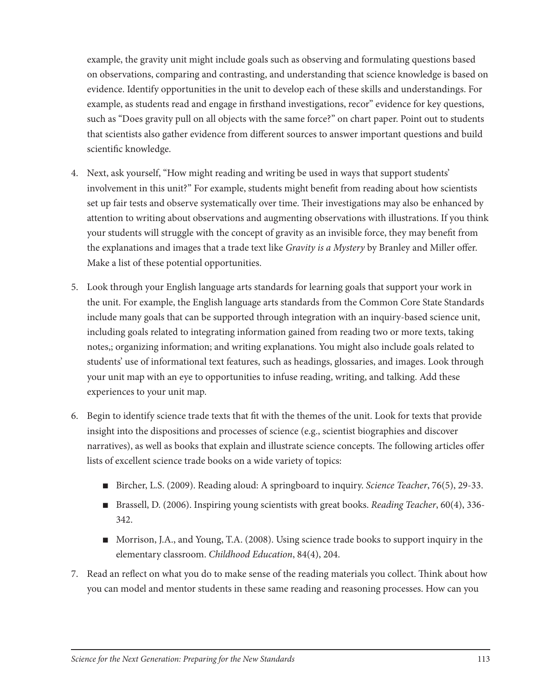example, the gravity unit might include goals such as observing and formulating questions based on observations, comparing and contrasting, and understanding that science knowledge is based on evidence. Identify opportunities in the unit to develop each of these skills and understandings. For example, as students read and engage in firsthand investigations, recor" evidence for key questions, such as "Does gravity pull on all objects with the same force?" on chart paper. Point out to students that scientists also gather evidence from different sources to answer important questions and build scientific knowledge.

- 4. Next, ask yourself, "How might reading and writing be used in ways that support students' involvement in this unit?" For example, students might benefit from reading about how scientists set up fair tests and observe systematically over time. Their investigations may also be enhanced by attention to writing about observations and augmenting observations with illustrations. If you think your students will struggle with the concept of gravity as an invisible force, they may benefit from the explanations and images that a trade text like *Gravity is a Mystery* by Branley and Miller offer. Make a list of these potential opportunities.
- 5. Look through your English language arts standards for learning goals that support your work in the unit. For example, the English language arts standards from the Common Core State Standards include many goals that can be supported through integration with an inquiry-based science unit, including goals related to integrating information gained from reading two or more texts, taking notes,; organizing information; and writing explanations. You might also include goals related to students' use of informational text features, such as headings, glossaries, and images. Look through your unit map with an eye to opportunities to infuse reading, writing, and talking. Add these experiences to your unit map.
- 6. Begin to identify science trade texts that fit with the themes of the unit. Look for texts that provide insight into the dispositions and processes of science (e.g., scientist biographies and discover narratives), as well as books that explain and illustrate science concepts. The following articles offer lists of excellent science trade books on a wide variety of topics:
	- Bircher, L.S. (2009). Reading aloud: A springboard to inquiry. *Science Teacher*, 76(5), 29-33.
	- Brassell, D. (2006). Inspiring young scientists with great books. *Reading Teacher*, 60(4), 336-342.
	- <sup>n</sup> Morrison, J.A., and Young, T.A. (2008). Using science trade books to support inquiry in the elementary classroom. *Childhood Education*, 84(4), 204.
- 7. Read an reflect on what you do to make sense of the reading materials you collect. Think about how you can model and mentor students in these same reading and reasoning processes. How can you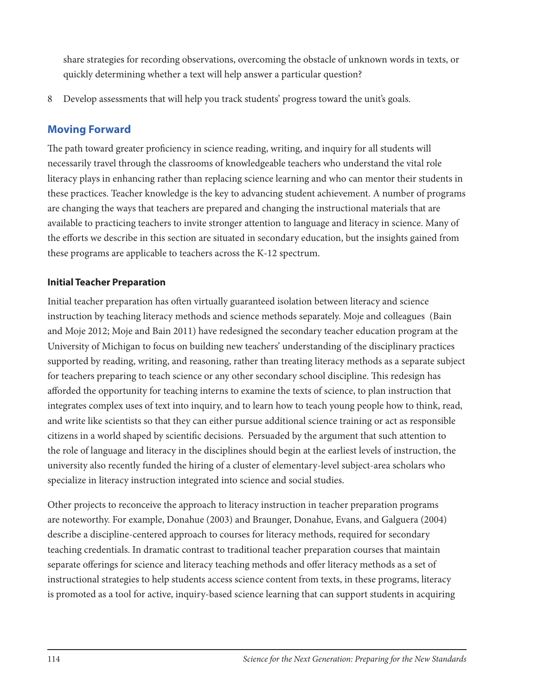share strategies for recording observations, overcoming the obstacle of unknown words in texts, or quickly determining whether a text will help answer a particular question?

8 Develop assessments that will help you track students' progress toward the unit's goals.

## **Moving Forward**

The path toward greater proficiency in science reading, writing, and inquiry for all students will necessarily travel through the classrooms of knowledgeable teachers who understand the vital role literacy plays in enhancing rather than replacing science learning and who can mentor their students in these practices. Teacher knowledge is the key to advancing student achievement. A number of programs are changing the ways that teachers are prepared and changing the instructional materials that are available to practicing teachers to invite stronger attention to language and literacy in science. Many of the efforts we describe in this section are situated in secondary education, but the insights gained from these programs are applicable to teachers across the K-12 spectrum.

#### **Initial Teacher Preparation**

Initial teacher preparation has often virtually guaranteed isolation between literacy and science instruction by teaching literacy methods and science methods separately. Moje and colleagues (Bain and Moje 2012; Moje and Bain 2011) have redesigned the secondary teacher education program at the University of Michigan to focus on building new teachers' understanding of the disciplinary practices supported by reading, writing, and reasoning, rather than treating literacy methods as a separate subject for teachers preparing to teach science or any other secondary school discipline. This redesign has afforded the opportunity for teaching interns to examine the texts of science, to plan instruction that integrates complex uses of text into inquiry, and to learn how to teach young people how to think, read, and write like scientists so that they can either pursue additional science training or act as responsible citizens in a world shaped by scientific decisions. Persuaded by the argument that such attention to the role of language and literacy in the disciplines should begin at the earliest levels of instruction, the university also recently funded the hiring of a cluster of elementary-level subject-area scholars who specialize in literacy instruction integrated into science and social studies.

Other projects to reconceive the approach to literacy instruction in teacher preparation programs are noteworthy. For example, Donahue (2003) and Braunger, Donahue, Evans, and Galguera (2004) describe a discipline-centered approach to courses for literacy methods, required for secondary teaching credentials. In dramatic contrast to traditional teacher preparation courses that maintain separate offerings for science and literacy teaching methods and offer literacy methods as a set of instructional strategies to help students access science content from texts, in these programs, literacy is promoted as a tool for active, inquiry-based science learning that can support students in acquiring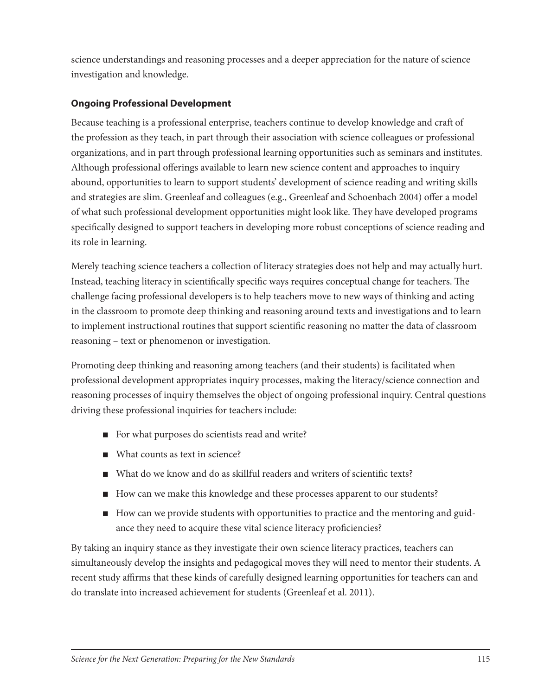science understandings and reasoning processes and a deeper appreciation for the nature of science investigation and knowledge.

#### **Ongoing Professional Development**

Because teaching is a professional enterprise, teachers continue to develop knowledge and craft of the profession as they teach, in part through their association with science colleagues or professional organizations, and in part through professional learning opportunities such as seminars and institutes. Although professional offerings available to learn new science content and approaches to inquiry abound, opportunities to learn to support students' development of science reading and writing skills and strategies are slim. Greenleaf and colleagues (e.g., Greenleaf and Schoenbach 2004) offer a model of what such professional development opportunities might look like. They have developed programs specifically designed to support teachers in developing more robust conceptions of science reading and its role in learning.

Merely teaching science teachers a collection of literacy strategies does not help and may actually hurt. Instead, teaching literacy in scientifically specific ways requires conceptual change for teachers. The challenge facing professional developers is to help teachers move to new ways of thinking and acting in the classroom to promote deep thinking and reasoning around texts and investigations and to learn to implement instructional routines that support scientific reasoning no matter the data of classroom reasoning – text or phenomenon or investigation.

Promoting deep thinking and reasoning among teachers (and their students) is facilitated when professional development appropriates inquiry processes, making the literacy/science connection and reasoning processes of inquiry themselves the object of ongoing professional inquiry. Central questions driving these professional inquiries for teachers include:

- For what purposes do scientists read and write?
- $\blacksquare$  What counts as text in science?
- What do we know and do as skillful readers and writers of scientific texts?
- <sup>n</sup> How can we make this knowledge and these processes apparent to our students?
- <sup>n</sup> How can we provide students with opportunities to practice and the mentoring and guidance they need to acquire these vital science literacy proficiencies?

By taking an inquiry stance as they investigate their own science literacy practices, teachers can simultaneously develop the insights and pedagogical moves they will need to mentor their students. A recent study affirms that these kinds of carefully designed learning opportunities for teachers can and do translate into increased achievement for students (Greenleaf et al. 2011).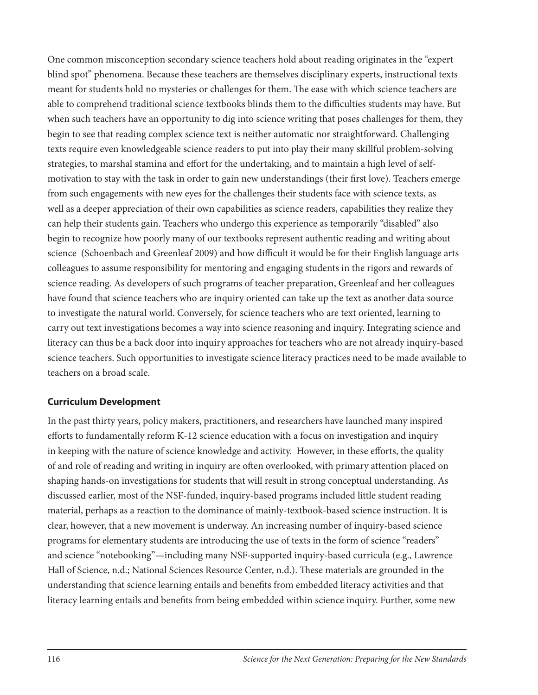One common misconception secondary science teachers hold about reading originates in the "expert blind spot" phenomena. Because these teachers are themselves disciplinary experts, instructional texts meant for students hold no mysteries or challenges for them. The ease with which science teachers are able to comprehend traditional science textbooks blinds them to the difficulties students may have. But when such teachers have an opportunity to dig into science writing that poses challenges for them, they begin to see that reading complex science text is neither automatic nor straightforward. Challenging texts require even knowledgeable science readers to put into play their many skillful problem-solving strategies, to marshal stamina and effort for the undertaking, and to maintain a high level of selfmotivation to stay with the task in order to gain new understandings (their first love). Teachers emerge from such engagements with new eyes for the challenges their students face with science texts, as well as a deeper appreciation of their own capabilities as science readers, capabilities they realize they can help their students gain. Teachers who undergo this experience as temporarily "disabled" also begin to recognize how poorly many of our textbooks represent authentic reading and writing about science (Schoenbach and Greenleaf 2009) and how difficult it would be for their English language arts colleagues to assume responsibility for mentoring and engaging students in the rigors and rewards of science reading. As developers of such programs of teacher preparation, Greenleaf and her colleagues have found that science teachers who are inquiry oriented can take up the text as another data source to investigate the natural world. Conversely, for science teachers who are text oriented, learning to carry out text investigations becomes a way into science reasoning and inquiry. Integrating science and literacy can thus be a back door into inquiry approaches for teachers who are not already inquiry-based science teachers. Such opportunities to investigate science literacy practices need to be made available to teachers on a broad scale.

#### **Curriculum Development**

In the past thirty years, policy makers, practitioners, and researchers have launched many inspired efforts to fundamentally reform K-12 science education with a focus on investigation and inquiry in keeping with the nature of science knowledge and activity. However, in these efforts, the quality of and role of reading and writing in inquiry are often overlooked, with primary attention placed on shaping hands-on investigations for students that will result in strong conceptual understanding. As discussed earlier, most of the NSF-funded, inquiry-based programs included little student reading material, perhaps as a reaction to the dominance of mainly-textbook-based science instruction. It is clear, however, that a new movement is underway. An increasing number of inquiry-based science programs for elementary students are introducing the use of texts in the form of science "readers" and science "notebooking"—including many NSF-supported inquiry-based curricula (e.g., Lawrence Hall of Science, n.d.; National Sciences Resource Center, n.d.). These materials are grounded in the understanding that science learning entails and benefits from embedded literacy activities and that literacy learning entails and benefits from being embedded within science inquiry. Further, some new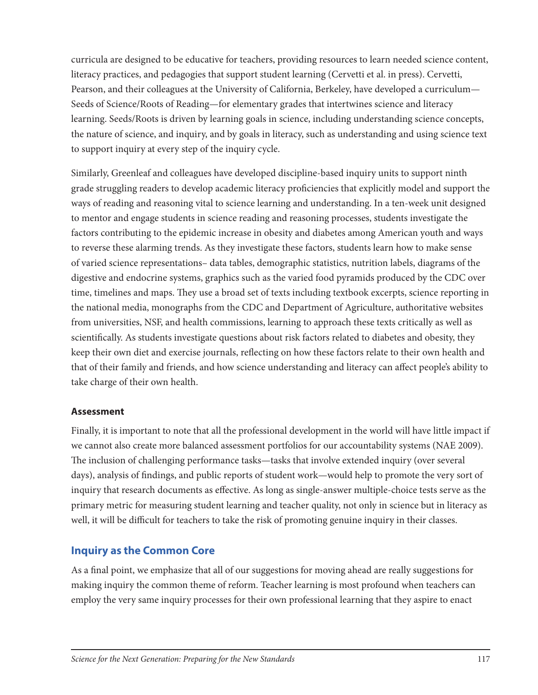curricula are designed to be educative for teachers, providing resources to learn needed science content, literacy practices, and pedagogies that support student learning (Cervetti et al. in press). Cervetti, Pearson, and their colleagues at the University of California, Berkeley, have developed a curriculum— Seeds of Science/Roots of Reading—for elementary grades that intertwines science and literacy learning. Seeds/Roots is driven by learning goals in science, including understanding science concepts, the nature of science, and inquiry, and by goals in literacy, such as understanding and using science text to support inquiry at every step of the inquiry cycle.

Similarly, Greenleaf and colleagues have developed discipline-based inquiry units to support ninth grade struggling readers to develop academic literacy proficiencies that explicitly model and support the ways of reading and reasoning vital to science learning and understanding. In a ten-week unit designed to mentor and engage students in science reading and reasoning processes, students investigate the factors contributing to the epidemic increase in obesity and diabetes among American youth and ways to reverse these alarming trends. As they investigate these factors, students learn how to make sense of varied science representations– data tables, demographic statistics, nutrition labels, diagrams of the digestive and endocrine systems, graphics such as the varied food pyramids produced by the CDC over time, timelines and maps. They use a broad set of texts including textbook excerpts, science reporting in the national media, monographs from the CDC and Department of Agriculture, authoritative websites from universities, NSF, and health commissions, learning to approach these texts critically as well as scientifically. As students investigate questions about risk factors related to diabetes and obesity, they keep their own diet and exercise journals, reflecting on how these factors relate to their own health and that of their family and friends, and how science understanding and literacy can affect people's ability to take charge of their own health.

#### **Assessment**

Finally, it is important to note that all the professional development in the world will have little impact if we cannot also create more balanced assessment portfolios for our accountability systems (NAE 2009). The inclusion of challenging performance tasks—tasks that involve extended inquiry (over several days), analysis of findings, and public reports of student work—would help to promote the very sort of inquiry that research documents as effective. As long as single-answer multiple-choice tests serve as the primary metric for measuring student learning and teacher quality, not only in science but in literacy as well, it will be difficult for teachers to take the risk of promoting genuine inquiry in their classes.

## **Inquiry as the Common Core**

As a final point, we emphasize that all of our suggestions for moving ahead are really suggestions for making inquiry the common theme of reform. Teacher learning is most profound when teachers can employ the very same inquiry processes for their own professional learning that they aspire to enact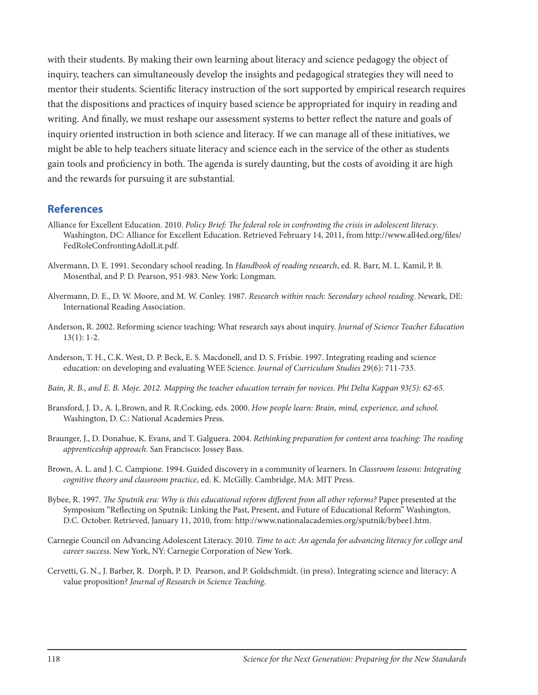with their students. By making their own learning about literacy and science pedagogy the object of inquiry, teachers can simultaneously develop the insights and pedagogical strategies they will need to mentor their students. Scientific literacy instruction of the sort supported by empirical research requires that the dispositions and practices of inquiry based science be appropriated for inquiry in reading and writing. And finally, we must reshape our assessment systems to better reflect the nature and goals of inquiry oriented instruction in both science and literacy. If we can manage all of these initiatives, we might be able to help teachers situate literacy and science each in the service of the other as students gain tools and proficiency in both. The agenda is surely daunting, but the costs of avoiding it are high and the rewards for pursuing it are substantial.

#### **References**

- Alliance for Excellent Education. 2010. *Policy Brief: The federal role in confronting the crisis in adolescent literacy*. Washington, DC: Alliance for Excellent Education. Retrieved February 14, 2011, from http://www.all4ed.org/files/ FedRoleConfrontingAdolLit.pdf.
- Alvermann, D. E. 1991. Secondary school reading. In *Handbook of reading research*, ed. R. Barr, M. L. Kamil, P. B. Mosenthal, and P. D. Pearson, 951-983. New York: Longman.
- Alvermann, D. E., D. W. Moore, and M. W. Conley. 1987. *Research within reach: Secondary school reading*. Newark, DE: International Reading Association.
- Anderson, R. 2002. Reforming science teaching: What research says about inquiry. *Journal of Science Teacher Education* 13(1): 1-2.
- Anderson, T. H., C.K. West, D. P. Beck, E. S. Macdonell, and D. S. Frisbie. 1997. Integrating reading and science education: on developing and evaluating WEE Science. *Journal of Curriculum Studies* 29(6): 711-733.
- *Bain, R. B., and E. B. Moje. 2012. Mapping the teacher education terrain for novices. Phi Delta Kappan 93(5): 62-65.*
- Bransford, J. D., A. L.Brown, and R. R.Cocking, eds. 2000. *How people learn: Brain, mind, experience, and school.* Washington, D. C.: National Academies Press.
- Braunger, J., D. Donahue, K. Evans, and T. Galguera. 2004. *Rethinking preparation for content area teaching: The reading apprenticeship approach.* San Francisco: Jossey Bass.
- Brown, A. L. and J. C. Campione. 1994. Guided discovery in a community of learners. In *Classroom lessons: Integrating cognitive theory and classroom practice*, ed. K. McGilly. Cambridge, MA: MIT Press.
- Bybee, R. 1997. *The Sputnik era: Why is this educational reform different from all other reforms?* Paper presented at the Symposium "Reflecting on Sputnik: Linking the Past, Present, and Future of Educational Reform" Washington, D.C. October. Retrieved, January 11, 2010, from: http://www.nationalacademies.org/sputnik/bybee1.htm.
- Carnegie Council on Advancing Adolescent Literacy. 2010. *Time to act: An agenda for advancing literacy for college and career success*. New York, NY: Carnegie Corporation of New York.
- Cervetti, G. N., J. Barber, R. Dorph, P. D. Pearson, and P. Goldschmidt. (in press). Integrating science and literacy: A value proposition? *Journal of Research in Science Teaching.*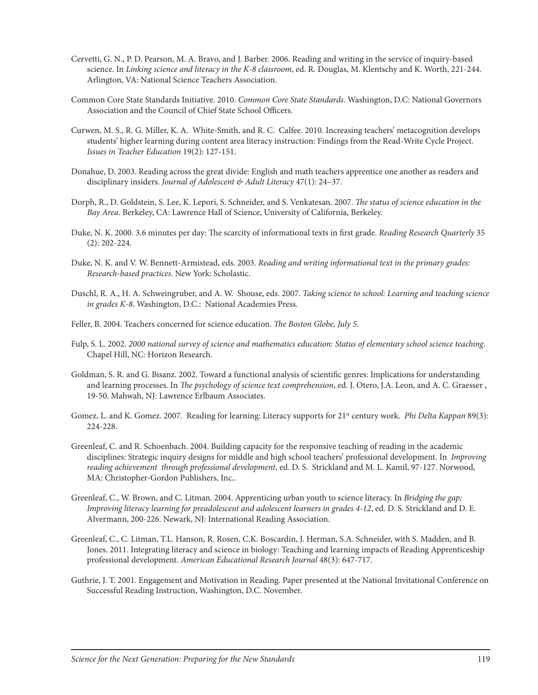- Cervetti, G. N., P. D. Pearson, M. A. Bravo, and J. Barber. 2006. Reading and writing in the service of inquiry-based science. In *Linking science and literacy in the K-8 classroom*, ed. R. Douglas, M. Klentschy and K. Worth, 221-244. Arlington, VA: National Science Teachers Association.
- Common Core State Standards Initiative. 2010. *Common Core State Standards*. Washington, D.C: National Governors Association and the Council of Chief State School Officers.
- Curwen, M. S., R. G. Miller, K. A. White-Smith, and R. C. Calfee. 2010. Increasing teachers' metacognition develops students' higher learning during content area literacy instruction: Findings from the Read-Write Cycle Project. *Issues in Teacher Education* 19(2): 127-151.
- Donahue, D. 2003. Reading across the great divide: English and math teachers apprentice one another as readers and disciplinary insiders. *Journal of Adolescent & Adult Literacy* 47(1): 24–37.
- Dorph, R., D. Goldstein, S. Lee, K. Lepori, S. Schneider, and S. Venkatesan. 2007. *The status of science education in the Bay Area*. Berkeley, CA: Lawrence Hall of Science, University of California, Berkeley.
- Duke, N. K. 2000. 3.6 minutes per day: The scarcity of informational texts in first grade. *Reading Research Quarterly* 35 (2): 202-224.
- Duke, N. K. and V. W. Bennett-Armistead, eds. 2003. *Reading and writing informational text in the primary grades: Research-based practices*. New York: Scholastic.
- Duschl, R. A., H. A. Schweingruber, and A. W. Shouse, eds. 2007. *Taking science to school: Learning and teaching science in grades K-8*. Washington, D.C.: National Academies Press.
- Feller, B. 2004. Teachers concerned for science education. *The Boston Globe, July 5*.
- Fulp, S. L. 2002. *2000 national survey of science and mathematics education: Status of elementary school science teaching*. Chapel Hill, NC: Horizon Research.
- Goldman, S. R. and G. Bisanz. 2002. Toward a functional analysis of scientific genres: Implications for understanding and learning processes. In *The psychology of science text comprehension*, ed. J. Otero, J.A. Leon, and A. C. Graesser , 19-50. Mahwah, NJ: Lawrence Erlbaum Associates.
- Gomez, L. and K. Gomez. 2007. Reading for learning: Literacy supports for 21st century work. *Phi Delta Kappan* 89(3): 224-228.
- Greenleaf, C. and R. Schoenbach. 2004. Building capacity for the responsive teaching of reading in the academic disciplines: Strategic inquiry designs for middle and high school teachers' professional development. In *Improving reading achievement through professional development*, ed. D. S. Strickland and M. L. Kamil, 97-127. Norwood, MA: Christopher-Gordon Publishers, Inc..
- Greenleaf, C., W. Brown, and C. Litman. 2004. Apprenticing urban youth to science literacy. In *Bridging the gap; Improving literacy learning for preadolescent and adolescent learners in grades 4-12*, ed. D. S. Strickland and D. E. Alvermann, 200-226. Newark, NJ: International Reading Association.
- Greenleaf, C., C. Litman, T.L. Hanson, R. Rosen, C.K. Boscardin, J. Herman, S.A. Schneider, with S. Madden, and B. Jones. 2011. Integrating literacy and science in biology: Teaching and learning impacts of Reading Apprenticeship professional development. *American Educational Research Journal* 48(3): 647-717.
- Guthrie, J. T. 2001. Engagement and Motivation in Reading. Paper presented at the National Invitational Conference on Successful Reading Instruction, Washington, D.C. November.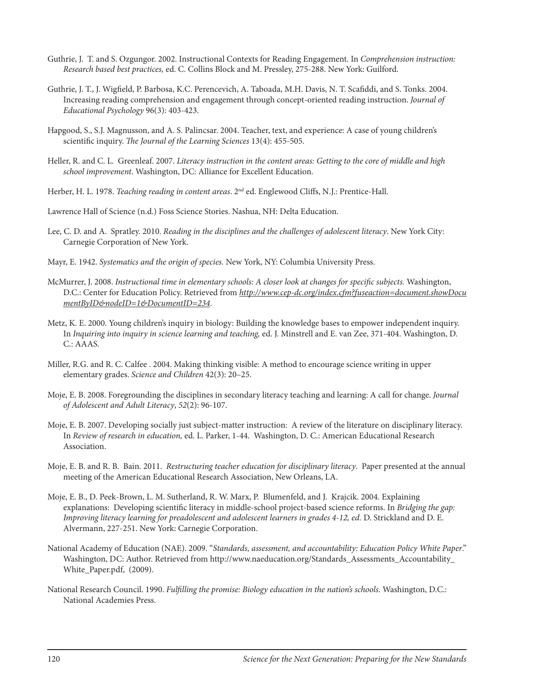- Guthrie, J. T. and S. Ozgungor. 2002. Instructional Contexts for Reading Engagement. In *Comprehension instruction: Research based best practices,* ed. C. Collins Block and M. Pressley, 275-288. New York: Guilford.
- Guthrie, J. T., J. Wigfield, P. Barbosa, K.C. Perencevich, A. Taboada, M.H. Davis, N. T. Scafiddi, and S. Tonks. 2004. Increasing reading comprehension and engagement through concept-oriented reading instruction. *Journal of Educational Psychology* 96(3): 403-423.
- Hapgood, S., S.J. Magnusson, and A. S. Palincsar. 2004. Teacher, text, and experience: A case of young children's scientific inquiry. *The Journal of the Learning Sciences* 13(4): 455-505.
- Heller, R. and C. L. Greenleaf. 2007. *Literacy instruction in the content areas: Getting to the core of middle and high school improvement*. Washington, DC: Alliance for Excellent Education.
- Herber, H. L. 1978. *Teaching reading in content areas*. 2nd ed. Englewood Cliffs, N.J.: Prentice-Hall.
- Lawrence Hall of Science (n.d.) Foss Science Stories. Nashua, NH: Delta Education.
- Lee, C. D. and A. Spratley. 2010. *Reading in the disciplines and the challenges of adolescent literacy*. New York City: Carnegie Corporation of New York.
- Mayr, E. 1942. *Systematics and the origin of species.* New York, NY: Columbia University Press.
- McMurrer, J. 2008. *Instructional time in elementary schools: A closer look at changes for specific subjects.* Washington, D.C.: Center for Education Policy. Retrieved from *http://www.cep-dc.org/index.cfm?fuseaction=document.showDocu mentByID&nodeID=1&DocumentID=234*.
- Metz, K. E. 2000. Young children's inquiry in biology: Building the knowledge bases to empower independent inquiry. In *Inquiring into inquiry in science learning and teaching,* ed. J. Minstrell and E. van Zee, 371-404. Washington, D. C.: AAAS.
- Miller, R.G. and R. C. Calfee . 2004. Making thinking visible: A method to encourage science writing in upper elementary grades. *Science and Children* 42(3): 20–25.
- Moje, E. B. 2008. Foregrounding the disciplines in secondary literacy teaching and learning: A call for change. *Journal of Adolescent and Adult Literacy*, *52*(2): 96-107.
- Moje, E. B. 2007. Developing socially just subject-matter instruction: A review of the literature on disciplinary literacy. In *Review of research in education,* ed. L. Parker, 1-44. Washington, D. C.: American Educational Research Association.
- Moje, E. B. and R. B. Bain. 2011. *Restructuring teacher education for disciplinary literacy*. Paper presented at the annual meeting of the American Educational Research Association, New Orleans, LA.
- Moje, E. B., D. Peek-Brown, L. M. Sutherland, R. W. Marx, P. Blumenfeld, and J. Krajcik. 2004. Explaining explanations: Developing scientific literacy in middle-school project-based science reforms. In *Bridging the gap: Improving literacy learning for preadolescent and adolescent learners in grades 4-12, ed.* D. Strickland and D. E. Alvermann, 227-251. New York: Carnegie Corporation.
- National Academy of Education (NAE). 2009. "*Standards, assessment, and accountability: Education Policy White Paper*." Washington, DC: Author. Retrieved from http://www.naeducation.org/Standards\_Assessments\_Accountability\_ White\_Paper.pdf, (2009).
- National Research Council. 1990. *Fulfilling the promise: Biology education in the nation's schools*. Washington, D.C.: National Academies Press.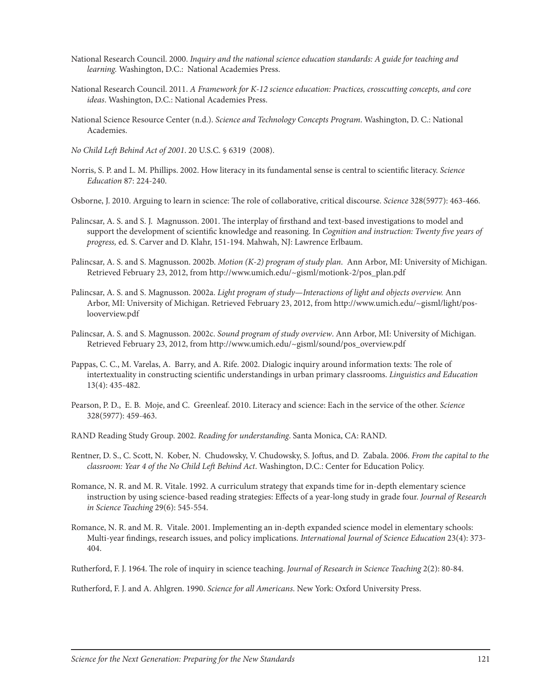- National Research Council. 2000. *Inquiry and the national science education standards: A guide for teaching and learning.* Washington, D.C.: National Academies Press.
- National Research Council. 2011. *A Framework for K-12 science education: Practices, crosscutting concepts, and core ideas*. Washington, D.C.: National Academies Press.
- National Science Resource Center (n.d.). *Science and Technology Concepts Program*. Washington, D. C.: National Academies.
- *No Child Left Behind Act of 2001*. 20 U.S.C. § 6319 (2008).
- Norris, S. P. and L. M. Phillips. 2002. How literacy in its fundamental sense is central to scientific literacy. *Science Education* 87: 224-240.
- Osborne, J. 2010. Arguing to learn in science: The role of collaborative, critical discourse. *Science* 328(5977): 463-466.
- Palincsar, A. S. and S. J. Magnusson. 2001. The interplay of firsthand and text-based investigations to model and support the development of scientific knowledge and reasoning. In *Cognition and instruction: Twenty five years of progress,* ed*.* S. Carver and D. Klahr, 151-194. Mahwah, NJ: Lawrence Erlbaum.
- Palincsar, A. S. and S. Magnusson. 2002b. *Motion (K-2) program of study plan*. Ann Arbor, MI: University of Michigan. Retrieved February 23, 2012, from http://www.umich.edu/~gisml/motionk-2/pos\_plan.pdf
- Palincsar, A. S. and S. Magnusson. 2002a. *Light program of study—Interactions of light and objects overview.* Ann Arbor, MI: University of Michigan. Retrieved February 23, 2012, from http://www.umich.edu/~gisml/light/poslooverview.pdf
- Palincsar, A. S. and S. Magnusson. 2002c. *Sound program of study overview*. Ann Arbor, MI: University of Michigan. Retrieved February 23, 2012, from http://www.umich.edu/~gisml/sound/pos\_overview.pdf
- Pappas, C. C., M. Varelas, A. Barry, and A. Rife. 2002. Dialogic inquiry around information texts: The role of intertextuality in constructing scientific understandings in urban primary classrooms. *Linguistics and Education* 13(4): 435-482.
- Pearson, P. D., E. B. Moje, and C. Greenleaf. 2010. Literacy and science: Each in the service of the other. *Science* 328(5977): 459-463.
- RAND Reading Study Group. 2002. *Reading for understanding*. Santa Monica, CA: RAND.
- Rentner, D. S., C. Scott, N. Kober, N. Chudowsky, V. Chudowsky, S. Joftus, and D. Zabala. 2006. *From the capital to the classroom: Year 4 of the No Child Left Behind Act*. Washington, D.C.: Center for Education Policy.
- Romance, N. R. and M. R. Vitale. 1992. A curriculum strategy that expands time for in-depth elementary science instruction by using science-based reading strategies: Effects of a year-long study in grade four. *Journal of Research in Science Teaching* 29(6): 545-554.
- Romance, N. R. and M. R. Vitale. 2001. Implementing an in-depth expanded science model in elementary schools: Multi-year findings, research issues, and policy implications. *International Journal of Science Education* 23(4): 373- 404.

Rutherford, F. J. 1964. The role of inquiry in science teaching. *Journal of Research in Science Teaching* 2(2): 80-84.

Rutherford, F. J. and A. Ahlgren. 1990. *Science for all Americans*. New York: Oxford University Press.